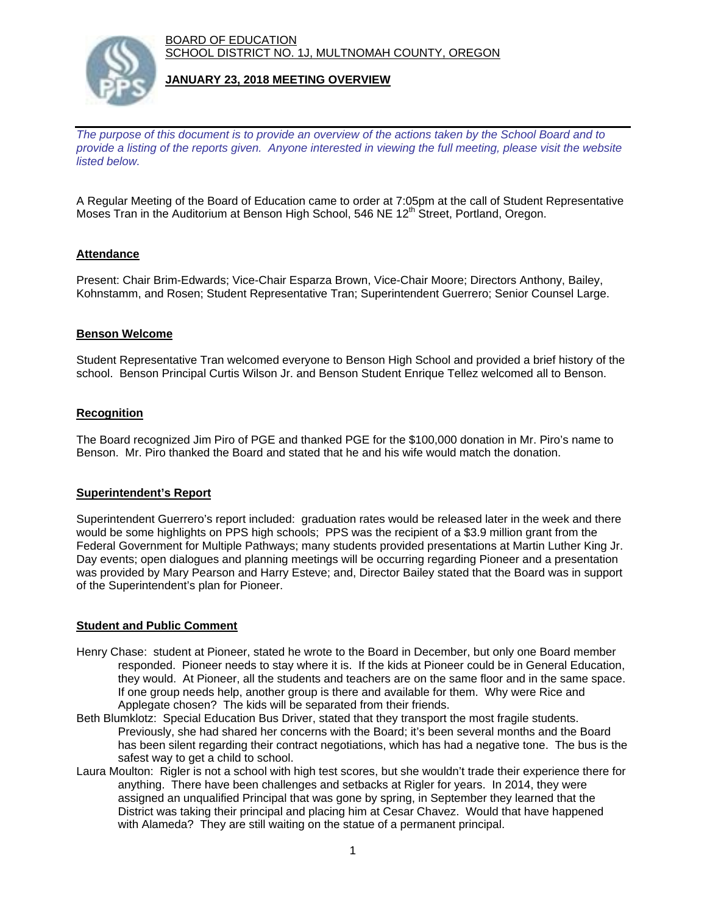BOARD OF EDUCATION SCHOOL DISTRICT NO. 1J, MULTNOMAH COUNTY, OREGON



# **JANUARY 23, 2018 MEETING OVERVIEW**

*The purpose of this document is to provide an overview of the actions taken by the School Board and to provide a listing of the reports given. Anyone interested in viewing the full meeting, please visit the website listed below.*

A Regular Meeting of the Board of Education came to order at 7:05pm at the call of Student Representative Moses Tran in the Auditorium at Benson High School, 546 NE 12<sup>th</sup> Street, Portland, Oregon.

# **Attendance**

Present: Chair Brim-Edwards; Vice-Chair Esparza Brown, Vice-Chair Moore; Directors Anthony, Bailey, Kohnstamm, and Rosen; Student Representative Tran; Superintendent Guerrero; Senior Counsel Large.

#### **Benson Welcome**

Student Representative Tran welcomed everyone to Benson High School and provided a brief history of the school. Benson Principal Curtis Wilson Jr. and Benson Student Enrique Tellez welcomed all to Benson.

# **Recognition**

The Board recognized Jim Piro of PGE and thanked PGE for the \$100,000 donation in Mr. Piro's name to Benson. Mr. Piro thanked the Board and stated that he and his wife would match the donation.

# **Superintendent's Report**

Superintendent Guerrero's report included: graduation rates would be released later in the week and there would be some highlights on PPS high schools; PPS was the recipient of a \$3.9 million grant from the Federal Government for Multiple Pathways; many students provided presentations at Martin Luther King Jr. Day events; open dialogues and planning meetings will be occurring regarding Pioneer and a presentation was provided by Mary Pearson and Harry Esteve; and, Director Bailey stated that the Board was in support of the Superintendent's plan for Pioneer.

# **Student and Public Comment**

- Henry Chase: student at Pioneer, stated he wrote to the Board in December, but only one Board member responded. Pioneer needs to stay where it is. If the kids at Pioneer could be in General Education, they would. At Pioneer, all the students and teachers are on the same floor and in the same space. If one group needs help, another group is there and available for them. Why were Rice and Applegate chosen? The kids will be separated from their friends.
- Beth Blumklotz: Special Education Bus Driver, stated that they transport the most fragile students. Previously, she had shared her concerns with the Board; it's been several months and the Board has been silent regarding their contract negotiations, which has had a negative tone. The bus is the safest way to get a child to school.
- Laura Moulton: Rigler is not a school with high test scores, but she wouldn't trade their experience there for anything. There have been challenges and setbacks at Rigler for years. In 2014, they were assigned an unqualified Principal that was gone by spring, in September they learned that the District was taking their principal and placing him at Cesar Chavez. Would that have happened with Alameda? They are still waiting on the statue of a permanent principal.